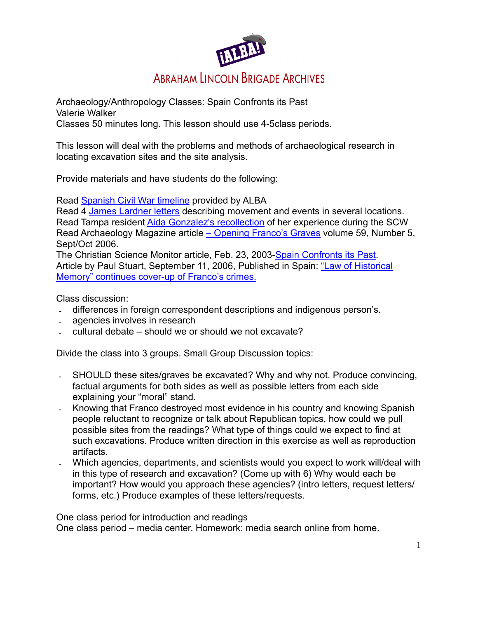

Archaeology/Anthropology Classes: Spain Confronts its Past Valerie Walker Classes 50 minutes long. This lesson should use 4-5class periods.

This lesson will deal with the problems and methods of archaeological research in locating excavation sites and the site analysis.

Provide materials and have students do the following:

Read [Spanish Civil War timeline](http://www.alba-valb.org/history/timeline) provided by ALBA

Read 4 [James Lardner letters](http://www.alba-valb.org/resources/digital-library) describing movement and events in several locations. Read Tampa resident [Aida Gonzalez's recollection](http://www.alba-valb.org/resources/document-library/aida-gonzalezs-recollection) of her experience during the SCW Read Archaeology Magazine article [– Opening Franco's Graves](http://www.archaeology.org/0609/abstracts/franco.html) volume 59, Number 5, Sept/Oct 2006.

The Christian Science Monitor article, Feb. 23, 2003-[Spain Confronts its Past.](http://www.csmonitor.com/2003/0206/p06s01-woam.htm) Article by Paul Stuart, September 11, 2006, Published in Spain: "Law of Historical [Memory" continues cover-up of Franco's crimes.](http://www.wsws.org/articles/2006/sep2006/spai-s11.shtml)

Class discussion:

- differences in foreign correspondent descriptions and indigenous person's.
- agencies involves in research
- cultural debate should we or should we not excavate?

Divide the class into 3 groups. Small Group Discussion topics:

- SHOULD these sites/graves be excavated? Why and why not. Produce convincing, factual arguments for both sides as well as possible letters from each side explaining your "moral" stand.
- Knowing that Franco destroyed most evidence in his country and knowing Spanish people reluctant to recognize or talk about Republican topics, how could we pull possible sites from the readings? What type of things could we expect to find at such excavations. Produce written direction in this exercise as well as reproduction artifacts.
- Which agencies, departments, and scientists would you expect to work will/deal with in this type of research and excavation? (Come up with 6) Why would each be important? How would you approach these agencies? (intro letters, request letters/ forms, etc.) Produce examples of these letters/requests.

One class period for introduction and readings

One class period – media center. Homework: media search online from home.